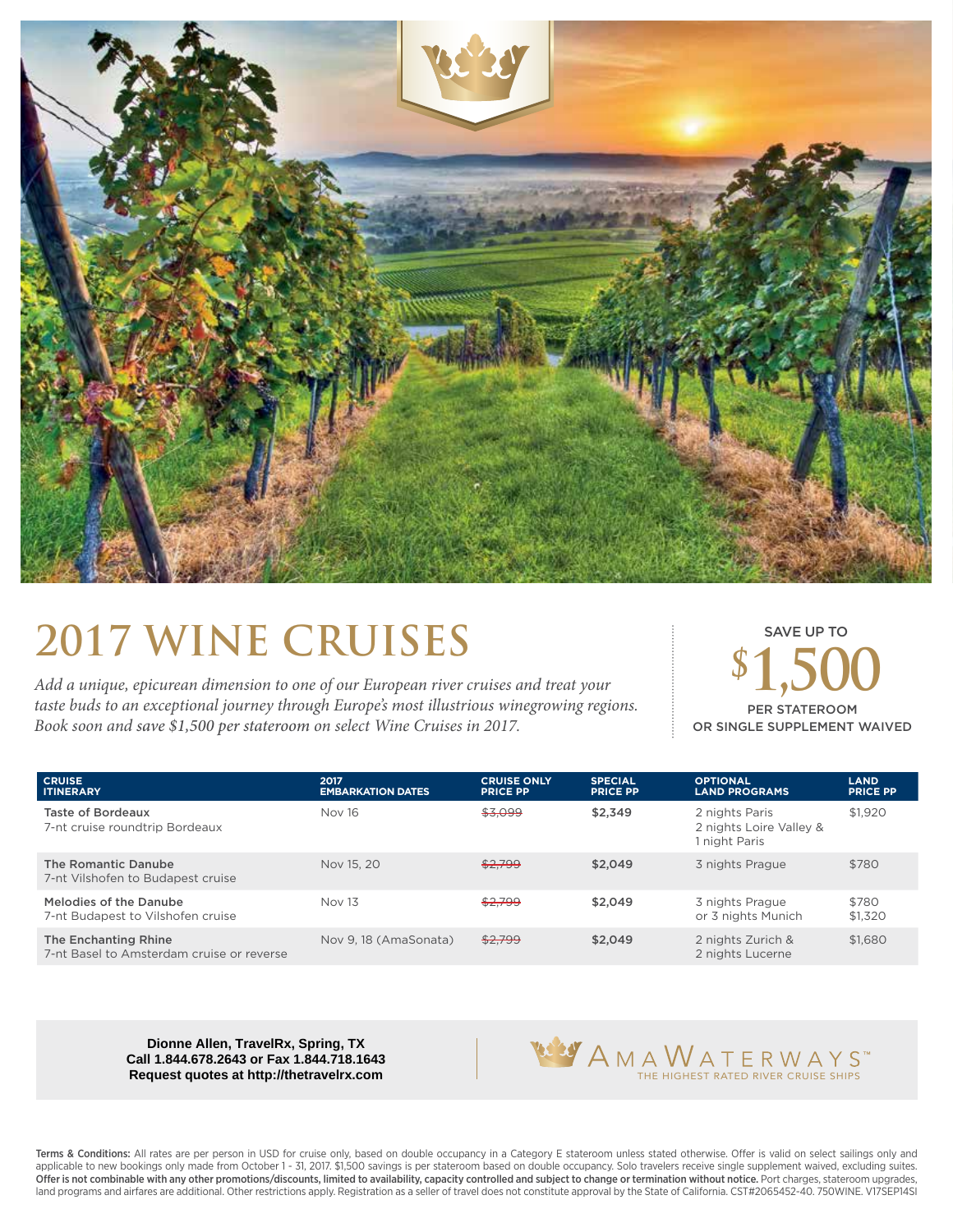

## **2017 WINE CRUISES \$1,500**

*Add a unique, epicurean dimension to one of our European river cruises and treat your taste buds to an exceptional journey through Europe's most illustrious winegrowing regions. Book soon and save \$1,500 per stateroom on select Wine Cruises in 2017.*

SAVE UP TO PER STATEROOM OR SINGLE SUPPLEMENT WAIVED

| <b>CRUISE</b><br><b>ITINERARY</b>                                 | 2017<br><b>EMBARKATION DATES</b> | <b>CRUISE ONLY</b><br><b>PRICE PP</b> | <b>SPECIAL</b><br><b>PRICE PP</b> | <b>OPTIONAL</b><br><b>LAND PROGRAMS</b>                    | <b>LAND</b><br><b>PRICE PP</b> |
|-------------------------------------------------------------------|----------------------------------|---------------------------------------|-----------------------------------|------------------------------------------------------------|--------------------------------|
| Taste of Bordeaux<br>7-nt cruise roundtrip Bordeaux               | Nov 16                           | \$3,099                               | \$2.349                           | 2 nights Paris<br>2 nights Loire Valley &<br>1 night Paris | \$1,920                        |
| The Romantic Danube<br>7-nt Vilshofen to Budapest cruise          | Nov 15, 20                       | \$2,799                               | \$2.049                           | 3 nights Prague                                            | \$780                          |
| Melodies of the Danube<br>7-nt Budapest to Vilshofen cruise       | Nov 13                           | \$2,799                               | \$2,049                           | 3 nights Prague<br>or 3 nights Munich                      | \$780<br>\$1,320               |
| The Enchanting Rhine<br>7-nt Basel to Amsterdam cruise or reverse | Nov 9, 18 (AmaSonata)            | \$2,799                               | \$2.049                           | 2 nights Zurich &<br>2 nights Lucerne                      | \$1,680                        |

**Dionne Allen, TravelRx, Spring, TX Call 1.844.678.2643 or Fax 1.844.718.1643 Request quotes at http://thetravelrx.com**



Terms & Conditions: All rates are per person in USD for cruise only, based on double occupancy in a Category E stateroom unless stated otherwise. Offer is valid on select sailings only and applicable to new bookings only made from October 1 - 31, 2017. \$1,500 savings is per stateroom based on double occupancy. Solo travelers receive single supplement waived, excluding suites. Offer is not combinable with any other promotions/discounts, limited to availability, capacity controlled and subject to change or termination without notice. Port charges, stateroom upgrades, land programs and airfares are additional. Other restrictions apply. Registration as a seller of travel does not constitute approval by the State of California. CST#2065452-40. 750WINE. V17SEP14SI